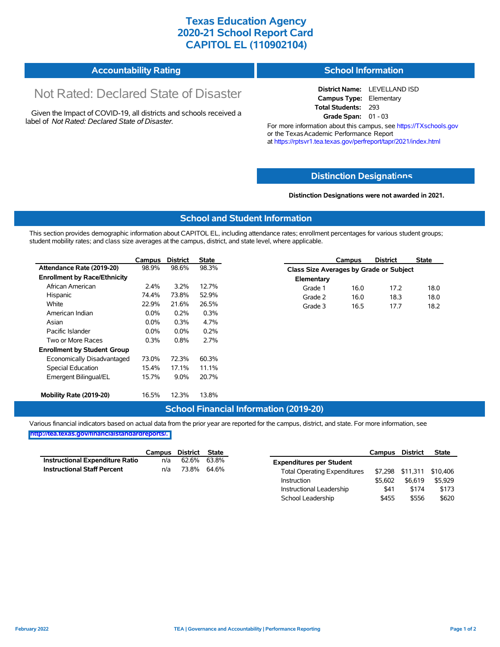# **Texas Education Agency 2020-21 School Report Card CAPITOL EL (110902104)**

| <b>Accountability Rating</b> | <b>School Information</b> |
|------------------------------|---------------------------|
|------------------------------|---------------------------|

# Not Rated: Declared State of Disaster

Given the Impact of COVID-19, all districts and schools received a label of *Not Rated: Declared State of Disaster.*

**District Name:** LEVELLAND ISD **Campus Type:** Elementary **Total Students:** 293 **Grade Span:** 01 - 03

For more information about this campus, see https://TXschools.gov or the Texas Academic Performance Report at https://rptsvr1.tea.texas.gov/perfreport/tapr/2021/index.html

## **Distinction Designat[ions](https://TXschools.gov)**

**Distinction Designations were not awarded in 2021.**

School Leadership  $$455$  \$556 \$620

#### **School and Student Information**

This section provides demographic information about CAPITOL EL, including attendance rates; enrollment percentages for various student groups; student mobility rates; and class size averages at the campus, district, and state level, where applicable.

|                                     | Campus  | <b>District</b> | <b>State</b> | <b>District</b><br><b>State</b><br>Campus |
|-------------------------------------|---------|-----------------|--------------|-------------------------------------------|
| Attendance Rate (2019-20)           | 98.9%   | 98.6%           | 98.3%        | Class Size Averages by Grade or Subject   |
| <b>Enrollment by Race/Ethnicity</b> |         |                 |              | Elementary                                |
| African American                    | $2.4\%$ | 3.2%            | 12.7%        | 17.2<br>18.0<br>Grade 1<br>16.0           |
| Hispanic                            | 74.4%   | 73.8%           | 52.9%        | 16.0<br>18.0<br>Grade 2<br>18.3           |
| White                               | 22.9%   | 21.6%           | 26.5%        | 16.5<br>17.7<br>18.2<br>Grade 3           |
| American Indian                     | $0.0\%$ | 0.2%            | 0.3%         |                                           |
| Asian                               | $0.0\%$ | 0.3%            | 4.7%         |                                           |
| Pacific Islander                    | $0.0\%$ | $0.0\%$         | 0.2%         |                                           |
| Two or More Races                   | 0.3%    | 0.8%            | 2.7%         |                                           |
| <b>Enrollment by Student Group</b>  |         |                 |              |                                           |
| Economically Disadvantaged          | 73.0%   | 72.3%           | 60.3%        |                                           |
| Special Education                   | 15.4%   | 17.1%           | 11.1%        |                                           |
| Emergent Bilingual/EL               | 15.7%   | $9.0\%$         | 20.7%        |                                           |
| Mobility Rate (2019-20)             | 16.5%   | 12.3%           | 13.8%        |                                           |

## **School Financial Information (2019-20)**

Various financial indicators based on actual data from the prior year are reported for the campus, district, and state. For more information, see

**[http://tea.texas.gov/financialstandardreports/.](http://tea.texas.gov/financialstandardreports/)**

|                                    | Campus | District State |       |                                     | Campus  | <b>District</b>  | <b>State</b> |
|------------------------------------|--------|----------------|-------|-------------------------------------|---------|------------------|--------------|
| Instructional Expenditure Ratio    | n/a    | 62.6%          | 63.8% | <b>Expenditures per Student</b>     |         |                  |              |
| <b>Instructional Staff Percent</b> | n/a    | 73.8%          | 64.6% | <b>Total Operating Expenditures</b> |         | \$7,298 \$11,311 | \$10.406     |
|                                    |        |                |       | Instruction                         | \$5.602 | \$6,619          | \$5.929      |
|                                    |        |                |       | Instructional Leadership            | \$41    | \$174            | \$173        |